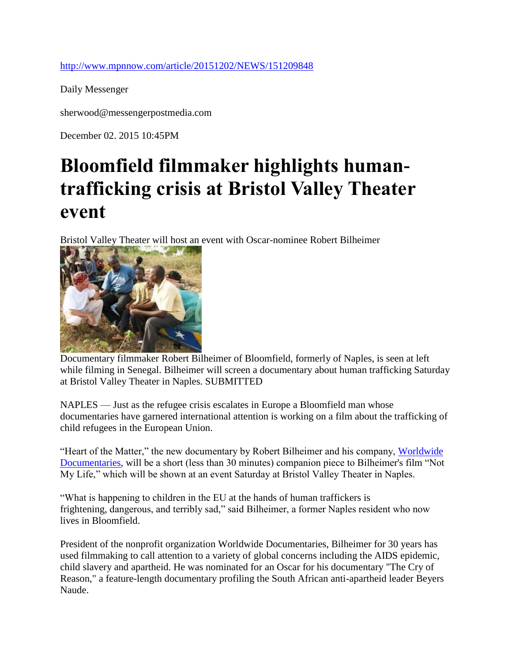## <http://www.mpnnow.com/article/20151202/NEWS/151209848>

Daily Messenger

sherwood@messengerpostmedia.com

December 02. 2015 10:45PM

## **Bloomfield filmmaker highlights humantrafficking crisis at Bristol Valley Theater event**

Bristol Valley Theater will host an event with Oscar-nominee Robert Bilheimer



Documentary filmmaker Robert Bilheimer of Bloomfield, formerly of Naples, is seen at left while filming in Senegal. Bilheimer will screen a documentary about human trafficking Saturday at Bristol Valley Theater in Naples. SUBMITTED

NAPLES — Just as the refugee crisis escalates in Europe a Bloomfield man whose documentaries have garnered international attention is working on a film about the trafficking of child refugees in the European Union.

"Heart of the Matter," the new documentary by Robert Bilheimer and his company, Worldwide [Documentaries,](http://worldwidedocumentaries.com/) will be a short (less than 30 minutes) companion piece to Bilheimer's film "Not My Life," which will be shown at an event Saturday at Bristol Valley Theater in Naples.

"What is happening to children in the EU at the hands of human traffickers is frightening, dangerous, and terribly sad," said Bilheimer, a former Naples resident who now lives in Bloomfield.

President of the nonprofit organization Worldwide Documentaries, Bilheimer for 30 years has used filmmaking to call attention to a variety of global concerns including the AIDS epidemic, child slavery and apartheid. He was nominated for an Oscar for his documentary "The Cry of Reason," a feature-length documentary profiling the South African anti-apartheid leader Beyers Naude.